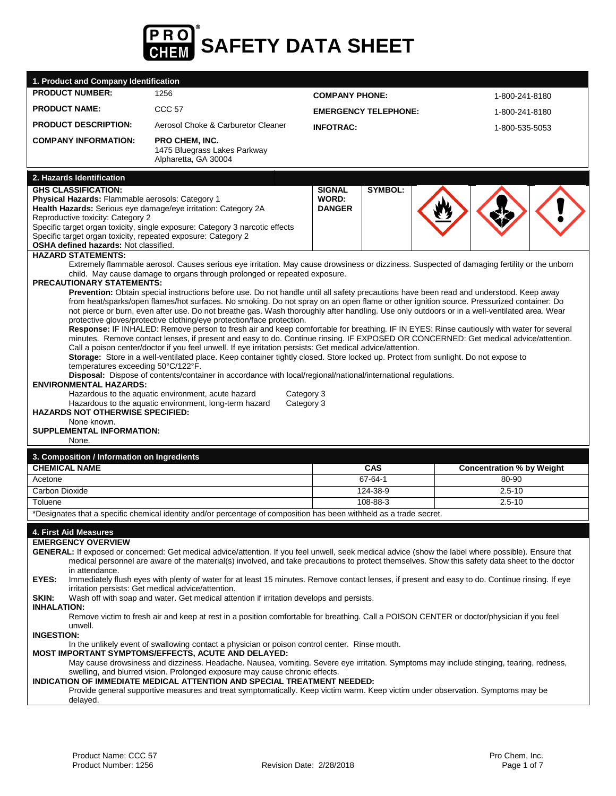

|                                                                                                                                                                                                                                                                                                                                                                                                              | 1. Product and Company Identification                                                                                                                                                                                                                                                                                                                                                                                                                                                                                                                                                                                                                                                                                                                                                                                                                                                                                                                                                                                                                                                                                                                                                                                                                                                                                                                                                                                                                                                                     |                             |            |                                  |  |  |
|--------------------------------------------------------------------------------------------------------------------------------------------------------------------------------------------------------------------------------------------------------------------------------------------------------------------------------------------------------------------------------------------------------------|-----------------------------------------------------------------------------------------------------------------------------------------------------------------------------------------------------------------------------------------------------------------------------------------------------------------------------------------------------------------------------------------------------------------------------------------------------------------------------------------------------------------------------------------------------------------------------------------------------------------------------------------------------------------------------------------------------------------------------------------------------------------------------------------------------------------------------------------------------------------------------------------------------------------------------------------------------------------------------------------------------------------------------------------------------------------------------------------------------------------------------------------------------------------------------------------------------------------------------------------------------------------------------------------------------------------------------------------------------------------------------------------------------------------------------------------------------------------------------------------------------------|-----------------------------|------------|----------------------------------|--|--|
| <b>PRODUCT NUMBER:</b>                                                                                                                                                                                                                                                                                                                                                                                       | 1256                                                                                                                                                                                                                                                                                                                                                                                                                                                                                                                                                                                                                                                                                                                                                                                                                                                                                                                                                                                                                                                                                                                                                                                                                                                                                                                                                                                                                                                                                                      | <b>COMPANY PHONE:</b>       |            | 1-800-241-8180                   |  |  |
| <b>PRODUCT NAME:</b>                                                                                                                                                                                                                                                                                                                                                                                         | <b>CCC 57</b>                                                                                                                                                                                                                                                                                                                                                                                                                                                                                                                                                                                                                                                                                                                                                                                                                                                                                                                                                                                                                                                                                                                                                                                                                                                                                                                                                                                                                                                                                             | <b>EMERGENCY TELEPHONE:</b> |            | 1-800-241-8180                   |  |  |
| <b>PRODUCT DESCRIPTION:</b>                                                                                                                                                                                                                                                                                                                                                                                  | Aerosol Choke & Carburetor Cleaner                                                                                                                                                                                                                                                                                                                                                                                                                                                                                                                                                                                                                                                                                                                                                                                                                                                                                                                                                                                                                                                                                                                                                                                                                                                                                                                                                                                                                                                                        | <b>INFOTRAC:</b>            |            | 1-800-535-5053                   |  |  |
| <b>COMPANY INFORMATION:</b>                                                                                                                                                                                                                                                                                                                                                                                  | <b>PRO CHEM, INC.</b><br>1475 Bluegrass Lakes Parkway<br>Alpharetta, GA 30004                                                                                                                                                                                                                                                                                                                                                                                                                                                                                                                                                                                                                                                                                                                                                                                                                                                                                                                                                                                                                                                                                                                                                                                                                                                                                                                                                                                                                             |                             |            |                                  |  |  |
| 2. Hazards Identification                                                                                                                                                                                                                                                                                                                                                                                    |                                                                                                                                                                                                                                                                                                                                                                                                                                                                                                                                                                                                                                                                                                                                                                                                                                                                                                                                                                                                                                                                                                                                                                                                                                                                                                                                                                                                                                                                                                           |                             |            |                                  |  |  |
| <b>GHS CLASSIFICATION:</b><br>Physical Hazards: Flammable aerosols: Category 1<br>Health Hazards: Serious eye damage/eye irritation: Category 2A<br>Reproductive toxicity: Category 2<br>Specific target organ toxicity, single exposure: Category 3 narcotic effects<br>Specific target organ toxicity, repeated exposure: Category 2<br>OSHA defined hazards: Not classified.<br><b>HAZARD STATEMENTS:</b> | <b>SIGNAL</b><br>WORD:<br><b>DANGER</b>                                                                                                                                                                                                                                                                                                                                                                                                                                                                                                                                                                                                                                                                                                                                                                                                                                                                                                                                                                                                                                                                                                                                                                                                                                                                                                                                                                                                                                                                   | SYMBOL:                     |            |                                  |  |  |
|                                                                                                                                                                                                                                                                                                                                                                                                              | Extremely flammable aerosol. Causes serious eye irritation. May cause drowsiness or dizziness. Suspected of damaging fertility or the unborn<br>child. May cause damage to organs through prolonged or repeated exposure.                                                                                                                                                                                                                                                                                                                                                                                                                                                                                                                                                                                                                                                                                                                                                                                                                                                                                                                                                                                                                                                                                                                                                                                                                                                                                 |                             |            |                                  |  |  |
| None known.<br>None.                                                                                                                                                                                                                                                                                                                                                                                         | <b>PRECAUTIONARY STATEMENTS:</b><br>Prevention: Obtain special instructions before use. Do not handle until all safety precautions have been read and understood. Keep away<br>from heat/sparks/open flames/hot surfaces. No smoking. Do not spray on an open flame or other ignition source. Pressurized container: Do<br>not pierce or burn, even after use. Do not breathe gas. Wash thoroughly after handling. Use only outdoors or in a well-ventilated area. Wear<br>protective gloves/protective clothing/eye protection/face protection.<br>Response: IF INHALED: Remove person to fresh air and keep comfortable for breathing. IF IN EYES: Rinse cautiously with water for several<br>minutes. Remove contact lenses, if present and easy to do. Continue rinsing. IF EXPOSED OR CONCERNED: Get medical advice/attention.<br>Call a poison center/doctor if you feel unwell. If eye irritation persists: Get medical advice/attention.<br>Storage: Store in a well-ventilated place. Keep container tightly closed. Store locked up. Protect from sunlight. Do not expose to<br>temperatures exceeding 50°C/122°F.<br>Disposal: Dispose of contents/container in accordance with local/regional/national/international regulations.<br><b>ENVIRONMENTAL HAZARDS:</b><br>Hazardous to the aquatic environment, acute hazard<br>Category 3<br>Hazardous to the aquatic environment, long-term hazard<br>Category 3<br><b>HAZARDS NOT OTHERWISE SPECIFIED:</b><br><b>SUPPLEMENTAL INFORMATION:</b> |                             |            |                                  |  |  |
| 3. Composition / Information on Ingredients                                                                                                                                                                                                                                                                                                                                                                  |                                                                                                                                                                                                                                                                                                                                                                                                                                                                                                                                                                                                                                                                                                                                                                                                                                                                                                                                                                                                                                                                                                                                                                                                                                                                                                                                                                                                                                                                                                           |                             |            |                                  |  |  |
| <b>CHEMICAL NAME</b>                                                                                                                                                                                                                                                                                                                                                                                         |                                                                                                                                                                                                                                                                                                                                                                                                                                                                                                                                                                                                                                                                                                                                                                                                                                                                                                                                                                                                                                                                                                                                                                                                                                                                                                                                                                                                                                                                                                           |                             |            |                                  |  |  |
|                                                                                                                                                                                                                                                                                                                                                                                                              |                                                                                                                                                                                                                                                                                                                                                                                                                                                                                                                                                                                                                                                                                                                                                                                                                                                                                                                                                                                                                                                                                                                                                                                                                                                                                                                                                                                                                                                                                                           |                             | <b>CAS</b> | <b>Concentration % by Weight</b> |  |  |
| Acetone                                                                                                                                                                                                                                                                                                                                                                                                      |                                                                                                                                                                                                                                                                                                                                                                                                                                                                                                                                                                                                                                                                                                                                                                                                                                                                                                                                                                                                                                                                                                                                                                                                                                                                                                                                                                                                                                                                                                           |                             | 67-64-1    | 80-90                            |  |  |
| Carbon Dioxide                                                                                                                                                                                                                                                                                                                                                                                               |                                                                                                                                                                                                                                                                                                                                                                                                                                                                                                                                                                                                                                                                                                                                                                                                                                                                                                                                                                                                                                                                                                                                                                                                                                                                                                                                                                                                                                                                                                           |                             | 124-38-9   | $2.5 - 10$                       |  |  |
| Toluene                                                                                                                                                                                                                                                                                                                                                                                                      | *Designates that a specific chemical identity and/or percentage of composition has been withheld as a trade secret.                                                                                                                                                                                                                                                                                                                                                                                                                                                                                                                                                                                                                                                                                                                                                                                                                                                                                                                                                                                                                                                                                                                                                                                                                                                                                                                                                                                       |                             | 108-88-3   | $2.5 - 10$                       |  |  |
| 4. First Aid Measures<br><b>EMERGENCY OVERVIEW</b><br>in attendance.<br>EYES:<br>SKIN:<br><b>INHALATION:</b><br>unwell.<br><b>INGESTION:</b><br>delayed.                                                                                                                                                                                                                                                     | GENERAL: If exposed or concerned: Get medical advice/attention. If you feel unwell, seek medical advice (show the label where possible). Ensure that<br>medical personnel are aware of the material(s) involved, and take precautions to protect themselves. Show this safety data sheet to the doctor<br>Immediately flush eyes with plenty of water for at least 15 minutes. Remove contact lenses, if present and easy to do. Continue rinsing. If eye<br>irritation persists: Get medical advice/attention.<br>Wash off with soap and water. Get medical attention if irritation develops and persists.<br>Remove victim to fresh air and keep at rest in a position comfortable for breathing. Call a POISON CENTER or doctor/physician if you feel<br>In the unlikely event of swallowing contact a physician or poison control center. Rinse mouth.<br>MOST IMPORTANT SYMPTOMS/EFFECTS, ACUTE AND DELAYED:<br>May cause drowsiness and dizziness. Headache. Nausea, vomiting. Severe eye irritation. Symptoms may include stinging, tearing, redness,<br>swelling, and blurred vision. Prolonged exposure may cause chronic effects.<br>INDICATION OF IMMEDIATE MEDICAL ATTENTION AND SPECIAL TREATMENT NEEDED:<br>Provide general supportive measures and treat symptomatically. Keep victim warm. Keep victim under observation. Symptoms may be                                                                                                                                                 |                             |            |                                  |  |  |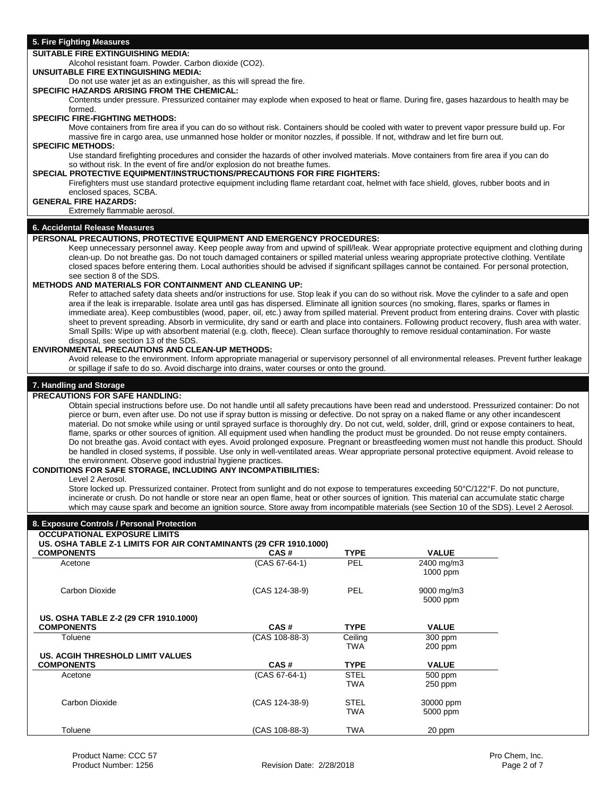| <b>SUITABLE FIRE EXTINGUISHING MEDIA:</b>                                                                                                                                                                                                                                                            |                                                                                                                                         |                            |                      |  |  |  |
|------------------------------------------------------------------------------------------------------------------------------------------------------------------------------------------------------------------------------------------------------------------------------------------------------|-----------------------------------------------------------------------------------------------------------------------------------------|----------------------------|----------------------|--|--|--|
| Alcohol resistant foam. Powder. Carbon dioxide (CO2).<br>UNSUITABLE FIRE EXTINGUISHING MEDIA:                                                                                                                                                                                                        |                                                                                                                                         |                            |                      |  |  |  |
| Do not use water jet as an extinguisher, as this will spread the fire.                                                                                                                                                                                                                               |                                                                                                                                         |                            |                      |  |  |  |
| SPECIFIC HAZARDS ARISING FROM THE CHEMICAL:                                                                                                                                                                                                                                                          |                                                                                                                                         |                            |                      |  |  |  |
|                                                                                                                                                                                                                                                                                                      | Contents under pressure. Pressurized container may explode when exposed to heat or flame. During fire, gases hazardous to health may be |                            |                      |  |  |  |
| formed.<br><b>SPECIFIC FIRE-FIGHTING METHODS:</b>                                                                                                                                                                                                                                                    |                                                                                                                                         |                            |                      |  |  |  |
| Move containers from fire area if you can do so without risk. Containers should be cooled with water to prevent vapor pressure build up. For                                                                                                                                                         |                                                                                                                                         |                            |                      |  |  |  |
| massive fire in cargo area, use unmanned hose holder or monitor nozzles, if possible. If not, withdraw and let fire burn out.<br><b>SPECIFIC METHODS:</b>                                                                                                                                            |                                                                                                                                         |                            |                      |  |  |  |
| Use standard firefighting procedures and consider the hazards of other involved materials. Move containers from fire area if you can do                                                                                                                                                              |                                                                                                                                         |                            |                      |  |  |  |
| so without risk. In the event of fire and/or explosion do not breathe fumes.<br>SPECIAL PROTECTIVE EQUIPMENT/INSTRUCTIONS/PRECAUTIONS FOR FIRE FIGHTERS:<br>Firefighters must use standard protective equipment including flame retardant coat, helmet with face shield, gloves, rubber boots and in |                                                                                                                                         |                            |                      |  |  |  |
| enclosed spaces, SCBA.                                                                                                                                                                                                                                                                               |                                                                                                                                         |                            |                      |  |  |  |
| <b>GENERAL FIRE HAZARDS:</b>                                                                                                                                                                                                                                                                         |                                                                                                                                         |                            |                      |  |  |  |
| Extremely flammable aerosol.                                                                                                                                                                                                                                                                         |                                                                                                                                         |                            |                      |  |  |  |
| 6. Accidental Release Measures                                                                                                                                                                                                                                                                       |                                                                                                                                         |                            |                      |  |  |  |
| PERSONAL PRECAUTIONS, PROTECTIVE EQUIPMENT AND EMERGENCY PROCEDURES:                                                                                                                                                                                                                                 |                                                                                                                                         |                            |                      |  |  |  |
| Keep unnecessary personnel away. Keep people away from and upwind of spill/leak. Wear appropriate protective equipment and clothing during                                                                                                                                                           |                                                                                                                                         |                            |                      |  |  |  |
| clean-up. Do not breathe gas. Do not touch damaged containers or spilled material unless wearing appropriate protective clothing. Ventilate<br>closed spaces before entering them. Local authorities should be advised if significant spillages cannot be contained. For personal protection,        |                                                                                                                                         |                            |                      |  |  |  |
| see section 8 of the SDS.                                                                                                                                                                                                                                                                            |                                                                                                                                         |                            |                      |  |  |  |
| <b>METHODS AND MATERIALS FOR CONTAINMENT AND CLEANING UP:</b><br>Refer to attached safety data sheets and/or instructions for use. Stop leak if you can do so without risk. Move the cylinder to a safe and open                                                                                     |                                                                                                                                         |                            |                      |  |  |  |
| area if the leak is irreparable. Isolate area until gas has dispersed. Eliminate all ignition sources (no smoking, flares, sparks or flames in                                                                                                                                                       |                                                                                                                                         |                            |                      |  |  |  |
| immediate area). Keep combustibles (wood, paper, oil, etc.) away from spilled material. Prevent product from entering drains. Cover with plastic                                                                                                                                                     |                                                                                                                                         |                            |                      |  |  |  |
| sheet to prevent spreading. Absorb in vermiculite, dry sand or earth and place into containers. Following product recovery, flush area with water.                                                                                                                                                   |                                                                                                                                         |                            |                      |  |  |  |
| Small Spills: Wipe up with absorbent material (e.g. cloth, fleece). Clean surface thoroughly to remove residual contamination. For waste<br>disposal, see section 13 of the SDS.                                                                                                                     |                                                                                                                                         |                            |                      |  |  |  |
| <b>ENVIRONMENTAL PRECAUTIONS AND CLEAN-UP METHODS:</b>                                                                                                                                                                                                                                               |                                                                                                                                         |                            |                      |  |  |  |
| Avoid release to the environment. Inform appropriate managerial or supervisory personnel of all environmental releases. Prevent further leakage                                                                                                                                                      |                                                                                                                                         |                            |                      |  |  |  |
| or spillage if safe to do so. Avoid discharge into drains, water courses or onto the ground.                                                                                                                                                                                                         |                                                                                                                                         |                            |                      |  |  |  |
| 7. Handling and Storage                                                                                                                                                                                                                                                                              |                                                                                                                                         |                            |                      |  |  |  |
| <b>PRECAUTIONS FOR SAFE HANDLING:</b>                                                                                                                                                                                                                                                                |                                                                                                                                         |                            |                      |  |  |  |
| Obtain special instructions before use. Do not handle until all safety precautions have been read and understood. Pressurized container: Do not                                                                                                                                                      |                                                                                                                                         |                            |                      |  |  |  |
| pierce or burn, even after use. Do not use if spray button is missing or defective. Do not spray on a naked flame or any other incandescent                                                                                                                                                          |                                                                                                                                         |                            |                      |  |  |  |
| material. Do not smoke while using or until sprayed surface is thoroughly dry. Do not cut, weld, solder, drill, grind or expose containers to heat,                                                                                                                                                  |                                                                                                                                         |                            |                      |  |  |  |
| flame, sparks or other sources of ignition. All equipment used when handling the product must be grounded. Do not reuse empty containers.<br>Do not breathe gas. Avoid contact with eyes. Avoid prolonged exposure. Pregnant or breastfeeding women must not handle this product. Should             |                                                                                                                                         |                            |                      |  |  |  |
| be handled in closed systems, if possible. Use only in well-ventilated areas. Wear appropriate personal protective equipment. Avoid release to                                                                                                                                                       |                                                                                                                                         |                            |                      |  |  |  |
| the environment. Observe good industrial hygiene practices.                                                                                                                                                                                                                                          |                                                                                                                                         |                            |                      |  |  |  |
| <b>CONDITIONS FOR SAFE STORAGE, INCLUDING ANY INCOMPATIBILITIES:</b>                                                                                                                                                                                                                                 |                                                                                                                                         |                            |                      |  |  |  |
| Level 2 Aerosol.<br>Store locked up. Pressurized container. Protect from sunlight and do not expose to temperatures exceeding 50°C/122°F. Do not puncture,                                                                                                                                           |                                                                                                                                         |                            |                      |  |  |  |
| incinerate or crush. Do not handle or store near an open flame, heat or other sources of ignition. This material can accumulate static charge                                                                                                                                                        |                                                                                                                                         |                            |                      |  |  |  |
| which may cause spark and become an ignition source. Store away from incompatible materials (see Section 10 of the SDS). Level 2 Aerosol.                                                                                                                                                            |                                                                                                                                         |                            |                      |  |  |  |
| 8. Exposure Controls / Personal Protection                                                                                                                                                                                                                                                           |                                                                                                                                         |                            |                      |  |  |  |
| <b>OCCUPATIONAL EXPOSURE LIMITS</b>                                                                                                                                                                                                                                                                  |                                                                                                                                         |                            |                      |  |  |  |
| US. OSHA TABLE Z-1 LIMITS FOR AIR CONTAMINANTS (29 CFR 1910.1000)                                                                                                                                                                                                                                    |                                                                                                                                         |                            |                      |  |  |  |
| <b>COMPONENTS</b>                                                                                                                                                                                                                                                                                    | CAS#                                                                                                                                    | <b>TYPE</b>                | <b>VALUE</b>         |  |  |  |
| Acetone                                                                                                                                                                                                                                                                                              | $(CAS 67-64-1)$                                                                                                                         | PEL                        | 2400 mg/m3           |  |  |  |
|                                                                                                                                                                                                                                                                                                      |                                                                                                                                         |                            | $1000$ ppm           |  |  |  |
| Carbon Dioxide                                                                                                                                                                                                                                                                                       | (CAS 124-38-9)                                                                                                                          | <b>PEL</b>                 | 9000 mg/m3           |  |  |  |
|                                                                                                                                                                                                                                                                                                      |                                                                                                                                         |                            | 5000 ppm             |  |  |  |
|                                                                                                                                                                                                                                                                                                      |                                                                                                                                         |                            |                      |  |  |  |
| US. OSHA TABLE Z-2 (29 CFR 1910.1000)<br><b>COMPONENTS</b>                                                                                                                                                                                                                                           | CAS#                                                                                                                                    | <b>TYPE</b>                | <b>VALUE</b>         |  |  |  |
| Toluene                                                                                                                                                                                                                                                                                              | (CAS 108-88-3)                                                                                                                          | Ceiling                    | 300 ppm              |  |  |  |
|                                                                                                                                                                                                                                                                                                      |                                                                                                                                         | TWA                        | 200 ppm              |  |  |  |
| US. ACGIH THRESHOLD LIMIT VALUES                                                                                                                                                                                                                                                                     |                                                                                                                                         |                            |                      |  |  |  |
| <b>COMPONENTS</b>                                                                                                                                                                                                                                                                                    | CAS#<br>(CAS 67-64-1)                                                                                                                   | <b>TYPE</b><br><b>STEL</b> | <b>VALUE</b>         |  |  |  |
| Acetone                                                                                                                                                                                                                                                                                              |                                                                                                                                         | <b>TWA</b>                 | 500 ppm<br>$250$ ppm |  |  |  |
|                                                                                                                                                                                                                                                                                                      |                                                                                                                                         |                            |                      |  |  |  |
| Carbon Dioxide                                                                                                                                                                                                                                                                                       | (CAS 124-38-9)                                                                                                                          | STEL                       | 30000 ppm            |  |  |  |
|                                                                                                                                                                                                                                                                                                      |                                                                                                                                         | <b>TWA</b>                 | 5000 ppm             |  |  |  |
| Toluene                                                                                                                                                                                                                                                                                              | (CAS 108-88-3)                                                                                                                          | <b>TWA</b>                 | 20 ppm               |  |  |  |
|                                                                                                                                                                                                                                                                                                      |                                                                                                                                         |                            |                      |  |  |  |

**5. Fire Fighting Measures**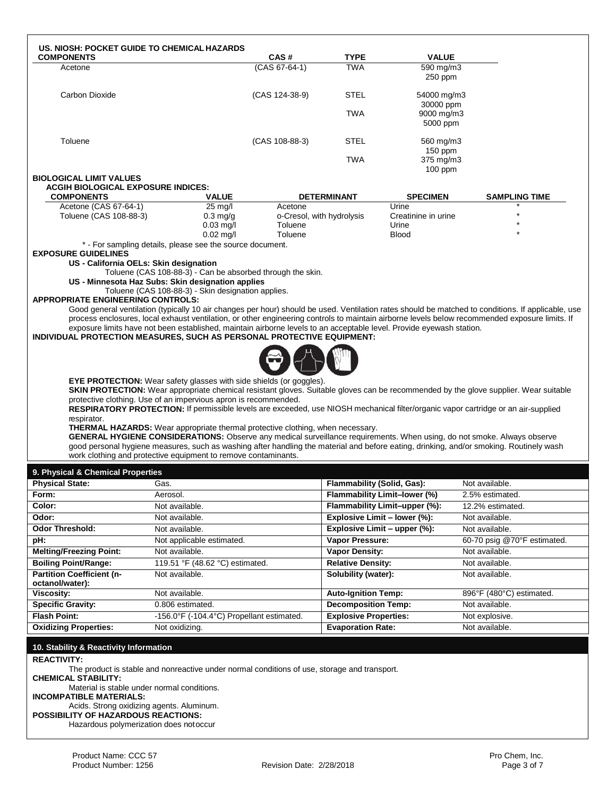| US. NIOSH: POCKET GUIDE TO CHEMICAL HAZARDS                                                                                                                                                                      |                                             |                           |                              |                               |                                                                                                                                                    |
|------------------------------------------------------------------------------------------------------------------------------------------------------------------------------------------------------------------|---------------------------------------------|---------------------------|------------------------------|-------------------------------|----------------------------------------------------------------------------------------------------------------------------------------------------|
| <b>COMPONENTS</b>                                                                                                                                                                                                |                                             | CAS#<br>(CAS 67-64-1)     | TYPE<br><b>TWA</b>           | <b>VALUE</b><br>590 mg/m3     |                                                                                                                                                    |
| Acetone                                                                                                                                                                                                          |                                             |                           |                              | 250 ppm                       |                                                                                                                                                    |
| Carbon Dioxide                                                                                                                                                                                                   |                                             | (CAS 124-38-9)            | STEL                         | 54000 mg/m3<br>30000 ppm      |                                                                                                                                                    |
|                                                                                                                                                                                                                  |                                             |                           | <b>TWA</b>                   | 9000 mg/m3<br>5000 ppm        |                                                                                                                                                    |
| Toluene                                                                                                                                                                                                          |                                             | (CAS 108-88-3)            | STEL                         | 560 mg/m3<br>$150$ ppm        |                                                                                                                                                    |
|                                                                                                                                                                                                                  |                                             |                           | <b>TWA</b>                   | 375 mg/m3<br>$100$ ppm        |                                                                                                                                                    |
| <b>BIOLOGICAL LIMIT VALUES</b>                                                                                                                                                                                   |                                             |                           |                              |                               |                                                                                                                                                    |
| <b>ACGIH BIOLOGICAL EXPOSURE INDICES:</b><br><b>COMPONENTS</b>                                                                                                                                                   | <b>VALUE</b>                                |                           | <b>DETERMINANT</b>           | <b>SPECIMEN</b>               | <b>SAMPLING TIME</b>                                                                                                                               |
| Acetone (CAS 67-64-1)                                                                                                                                                                                            | 25 mg/l                                     | Acetone                   |                              | Urine                         |                                                                                                                                                    |
| Toluene (CAS 108-88-3)                                                                                                                                                                                           | $0.3 \text{ mg/g}$                          | o-Cresol, with hydrolysis |                              | Creatinine in urine           |                                                                                                                                                    |
|                                                                                                                                                                                                                  | $0.03$ mg/l                                 | Toluene                   |                              | Urine                         |                                                                                                                                                    |
|                                                                                                                                                                                                                  | $0.02$ mg/l                                 | Toluene                   |                              | <b>Blood</b>                  |                                                                                                                                                    |
| * - For sampling details, please see the source document.<br><b>EXPOSURE GUIDELINES</b><br>US - California OELs: Skin designation                                                                                |                                             |                           |                              |                               |                                                                                                                                                    |
| Toluene (CAS 108-88-3) - Can be absorbed through the skin.<br>US - Minnesota Haz Subs: Skin designation applies                                                                                                  |                                             |                           |                              |                               |                                                                                                                                                    |
| Toluene (CAS 108-88-3) - Skin designation applies.                                                                                                                                                               |                                             |                           |                              |                               |                                                                                                                                                    |
| <b>APPROPRIATE ENGINEERING CONTROLS:</b>                                                                                                                                                                         |                                             |                           |                              |                               |                                                                                                                                                    |
| process enclosures, local exhaust ventilation, or other engineering controls to maintain airborne levels below recommended exposure limits. If                                                                   |                                             |                           |                              |                               | Good general ventilation (typically 10 air changes per hour) should be used. Ventilation rates should be matched to conditions. If applicable, use |
| exposure limits have not been established, maintain airborne levels to an acceptable level. Provide eyewash station.                                                                                             |                                             |                           |                              |                               |                                                                                                                                                    |
| INDIVIDUAL PROTECTION MEASURES, SUCH AS PERSONAL PROTECTIVE EQUIPMENT:                                                                                                                                           |                                             |                           |                              |                               |                                                                                                                                                    |
|                                                                                                                                                                                                                  |                                             |                           |                              |                               |                                                                                                                                                    |
|                                                                                                                                                                                                                  |                                             |                           |                              |                               |                                                                                                                                                    |
|                                                                                                                                                                                                                  |                                             |                           |                              |                               |                                                                                                                                                    |
| EYE PROTECTION: Wear safety glasses with side shields (or goggles).                                                                                                                                              |                                             |                           |                              |                               |                                                                                                                                                    |
| SKIN PROTECTION: Wear appropriate chemical resistant gloves. Suitable gloves can be recommended by the glove supplier. Wear suitable                                                                             |                                             |                           |                              |                               |                                                                                                                                                    |
| protective clothing. Use of an impervious apron is recommended.                                                                                                                                                  |                                             |                           |                              |                               |                                                                                                                                                    |
| RESPIRATORY PROTECTION: If permissible levels are exceeded, use NIOSH mechanical filter/organic vapor cartridge or an air-supplied                                                                               |                                             |                           |                              |                               |                                                                                                                                                    |
| respirator.                                                                                                                                                                                                      |                                             |                           |                              |                               |                                                                                                                                                    |
| <b>THERMAL HAZARDS:</b> Wear appropriate thermal protective clothing, when necessary.<br>GENERAL HYGIENE CONSIDERATIONS: Observe any medical surveillance requirements. When using, do not smoke. Always observe |                                             |                           |                              |                               |                                                                                                                                                    |
| good personal hygiene measures, such as washing after handling the material and before eating, drinking, and/or smoking. Routinely wash                                                                          |                                             |                           |                              |                               |                                                                                                                                                    |
| work clothing and protective equipment to remove contaminants.                                                                                                                                                   |                                             |                           |                              |                               |                                                                                                                                                    |
| 9. Physical & Chemical Properties                                                                                                                                                                                |                                             |                           |                              |                               |                                                                                                                                                    |
| <b>Physical State:</b><br>Gas.                                                                                                                                                                                   |                                             |                           | Flammability (Solid, Gas):   |                               | Not available.                                                                                                                                     |
| Form:<br>Aerosol.                                                                                                                                                                                                |                                             |                           |                              | Flammability Limit-lower (%)  | 2.5% estimated.                                                                                                                                    |
| Color:<br>Not available.                                                                                                                                                                                         |                                             |                           |                              | Flammability Limit-upper (%): | 12.2% estimated.                                                                                                                                   |
| Odor:<br>Not available.                                                                                                                                                                                          |                                             |                           | Explosive Limit - lower (%): |                               | Not available.                                                                                                                                     |
| <b>Odor Threshold:</b><br>Not available.                                                                                                                                                                         |                                             |                           | Explosive Limit - upper (%): |                               | Not available.                                                                                                                                     |
| pH:                                                                                                                                                                                                              | Not applicable estimated.                   |                           | Vapor Pressure:              |                               | 60-70 psig @70°F estimated.                                                                                                                        |
| <b>Melting/Freezing Point:</b><br>Not available.                                                                                                                                                                 |                                             |                           | <b>Vapor Density:</b>        |                               | Not available.                                                                                                                                     |
| <b>Boiling Point/Range:</b>                                                                                                                                                                                      | 119.51 °F (48.62 °C) estimated.             |                           | <b>Relative Density:</b>     |                               | Not available.                                                                                                                                     |
| <b>Partition Coefficient (n-</b><br>Not available.                                                                                                                                                               |                                             |                           | Solubility (water):          |                               | Not available.                                                                                                                                     |
| octanol/water):                                                                                                                                                                                                  |                                             |                           |                              |                               |                                                                                                                                                    |
| Viscosity:<br>Not available.                                                                                                                                                                                     |                                             |                           | <b>Auto-Ignition Temp:</b>   |                               | 896°F (480°C) estimated.                                                                                                                           |
| <b>Specific Gravity:</b>                                                                                                                                                                                         | 0.806 estimated.                            |                           | <b>Decomposition Temp:</b>   |                               | Not available.                                                                                                                                     |
| <b>Flash Point:</b>                                                                                                                                                                                              | -156.0°F (-104.4°C) Propellant estimated.   |                           | <b>Explosive Properties:</b> |                               | Not explosive.                                                                                                                                     |
| <b>Oxidizing Properties:</b><br>Not oxidizing.                                                                                                                                                                   |                                             |                           | <b>Evaporation Rate:</b>     |                               | Not available.                                                                                                                                     |
| 10. Stability & Reactivity Information                                                                                                                                                                           |                                             |                           |                              |                               |                                                                                                                                                    |
| <b>REACTIVITY:</b>                                                                                                                                                                                               |                                             |                           |                              |                               |                                                                                                                                                    |
| The product is stable and nonreactive under normal conditions of use, storage and transport.                                                                                                                     |                                             |                           |                              |                               |                                                                                                                                                    |
| <b>CHEMICAL STABILITY:</b>                                                                                                                                                                                       | Material is stable under normal conditions. |                           |                              |                               |                                                                                                                                                    |

**INCOMPATIBLE MATERIALS:**

Acids. Strong oxidizing agents. Aluminum. **POSSIBILITY OF HAZARDOUS REACTIONS:**

Hazardous polymerization does notoccur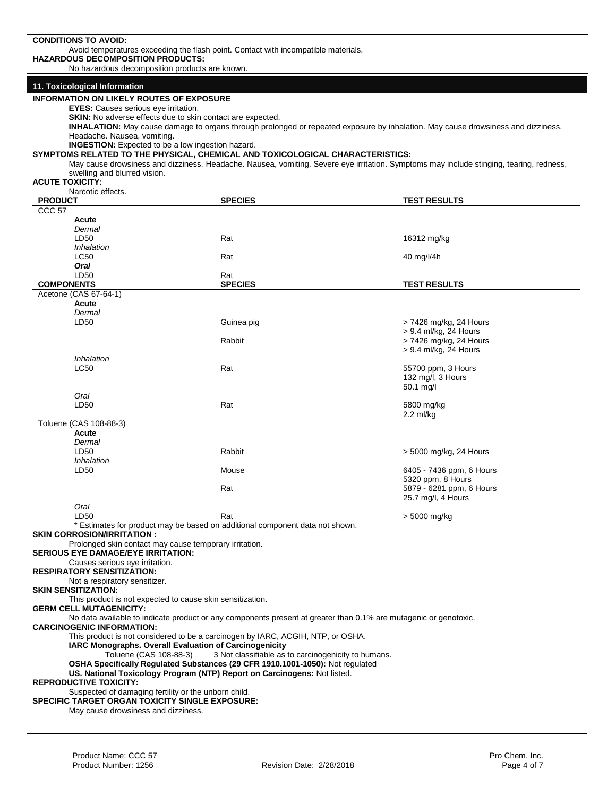| <b>CONDITIONS TO AVOID:</b>                                                                                                                                                                                                                                    |                                                                                                                                                                                                                                                                                                                                                              |                                                      |  |  |  |
|----------------------------------------------------------------------------------------------------------------------------------------------------------------------------------------------------------------------------------------------------------------|--------------------------------------------------------------------------------------------------------------------------------------------------------------------------------------------------------------------------------------------------------------------------------------------------------------------------------------------------------------|------------------------------------------------------|--|--|--|
| Avoid temperatures exceeding the flash point. Contact with incompatible materials.<br><b>HAZARDOUS DECOMPOSITION PRODUCTS:</b>                                                                                                                                 |                                                                                                                                                                                                                                                                                                                                                              |                                                      |  |  |  |
| No hazardous decomposition products are known.                                                                                                                                                                                                                 |                                                                                                                                                                                                                                                                                                                                                              |                                                      |  |  |  |
| 11. Toxicological Information<br><b>INFORMATION ON LIKELY ROUTES OF EXPOSURE</b>                                                                                                                                                                               |                                                                                                                                                                                                                                                                                                                                                              |                                                      |  |  |  |
| EYES: Causes serious eye irritation.<br><b>SKIN:</b> No adverse effects due to skin contact are expected.<br>Headache. Nausea, vomiting.<br><b>INGESTION:</b> Expected to be a low ingestion hazard.<br>swelling and blurred vision.<br><b>ACUTE TOXICITY:</b> | INHALATION: May cause damage to organs through prolonged or repeated exposure by inhalation. May cause drowsiness and dizziness.<br>SYMPTOMS RELATED TO THE PHYSICAL, CHEMICAL AND TOXICOLOGICAL CHARACTERISTICS:<br>May cause drowsiness and dizziness. Headache. Nausea, vomiting. Severe eye irritation. Symptoms may include stinging, tearing, redness, |                                                      |  |  |  |
| Narcotic effects.                                                                                                                                                                                                                                              |                                                                                                                                                                                                                                                                                                                                                              |                                                      |  |  |  |
| <b>PRODUCT</b><br>CCC <sub>57</sub>                                                                                                                                                                                                                            | <b>SPECIES</b>                                                                                                                                                                                                                                                                                                                                               | <b>TEST RESULTS</b>                                  |  |  |  |
| Acute                                                                                                                                                                                                                                                          |                                                                                                                                                                                                                                                                                                                                                              |                                                      |  |  |  |
| Dermal<br>LD50                                                                                                                                                                                                                                                 | Rat                                                                                                                                                                                                                                                                                                                                                          | 16312 mg/kg                                          |  |  |  |
| Inhalation                                                                                                                                                                                                                                                     |                                                                                                                                                                                                                                                                                                                                                              |                                                      |  |  |  |
| <b>LC50</b><br>Oral                                                                                                                                                                                                                                            | Rat                                                                                                                                                                                                                                                                                                                                                          | 40 mg/l/4h                                           |  |  |  |
| LD50                                                                                                                                                                                                                                                           | Rat                                                                                                                                                                                                                                                                                                                                                          |                                                      |  |  |  |
| <b>COMPONENTS</b><br>Acetone (CAS 67-64-1)                                                                                                                                                                                                                     | <b>SPECIES</b>                                                                                                                                                                                                                                                                                                                                               | <b>TEST RESULTS</b>                                  |  |  |  |
| Acute                                                                                                                                                                                                                                                          |                                                                                                                                                                                                                                                                                                                                                              |                                                      |  |  |  |
| Dermal<br>LD50                                                                                                                                                                                                                                                 | Guinea pig                                                                                                                                                                                                                                                                                                                                                   | > 7426 mg/kg, 24 Hours                               |  |  |  |
|                                                                                                                                                                                                                                                                |                                                                                                                                                                                                                                                                                                                                                              | > 9.4 ml/kg, 24 Hours                                |  |  |  |
|                                                                                                                                                                                                                                                                | Rabbit                                                                                                                                                                                                                                                                                                                                                       | > 7426 mg/kg, 24 Hours<br>> 9.4 ml/kg, 24 Hours      |  |  |  |
| Inhalation                                                                                                                                                                                                                                                     |                                                                                                                                                                                                                                                                                                                                                              |                                                      |  |  |  |
| <b>LC50</b><br>Oral                                                                                                                                                                                                                                            | Rat                                                                                                                                                                                                                                                                                                                                                          | 55700 ppm, 3 Hours<br>132 mg/l, 3 Hours<br>50.1 mg/l |  |  |  |
| LD <sub>50</sub>                                                                                                                                                                                                                                               | Rat                                                                                                                                                                                                                                                                                                                                                          | 5800 mg/kg<br>$2.2$ ml/kg                            |  |  |  |
| Toluene (CAS 108-88-3)<br>Acute                                                                                                                                                                                                                                |                                                                                                                                                                                                                                                                                                                                                              |                                                      |  |  |  |
| Dermal<br>LD50<br>Inhalation                                                                                                                                                                                                                                   | Rabbit                                                                                                                                                                                                                                                                                                                                                       | > 5000 mg/kg, 24 Hours                               |  |  |  |
| LD <sub>50</sub>                                                                                                                                                                                                                                               | Mouse                                                                                                                                                                                                                                                                                                                                                        | 6405 - 7436 ppm, 6 Hours<br>5320 ppm, 8 Hours        |  |  |  |
|                                                                                                                                                                                                                                                                | Rat                                                                                                                                                                                                                                                                                                                                                          | 5879 - 6281 ppm, 6 Hours<br>25.7 mg/l, 4 Hours       |  |  |  |
| Oral<br>LD50                                                                                                                                                                                                                                                   | Rat                                                                                                                                                                                                                                                                                                                                                          | > 5000 mg/kg                                         |  |  |  |
|                                                                                                                                                                                                                                                                | * Estimates for product may be based on additional component data not shown.                                                                                                                                                                                                                                                                                 |                                                      |  |  |  |
| <b>SKIN CORROSION/IRRITATION:</b><br>Prolonged skin contact may cause temporary irritation.<br><b>SERIOUS EYE DAMAGE/EYE IRRITATION:</b>                                                                                                                       |                                                                                                                                                                                                                                                                                                                                                              |                                                      |  |  |  |
| Causes serious eye irritation.<br><b>RESPIRATORY SENSITIZATION:</b>                                                                                                                                                                                            |                                                                                                                                                                                                                                                                                                                                                              |                                                      |  |  |  |
| Not a respiratory sensitizer.<br><b>SKIN SENSITIZATION:</b>                                                                                                                                                                                                    |                                                                                                                                                                                                                                                                                                                                                              |                                                      |  |  |  |
| This product is not expected to cause skin sensitization.<br><b>GERM CELL MUTAGENICITY:</b>                                                                                                                                                                    |                                                                                                                                                                                                                                                                                                                                                              |                                                      |  |  |  |
| No data available to indicate product or any components present at greater than 0.1% are mutagenic or genotoxic.<br><b>CARCINOGENIC INFORMATION:</b>                                                                                                           |                                                                                                                                                                                                                                                                                                                                                              |                                                      |  |  |  |
| This product is not considered to be a carcinogen by IARC, ACGIH, NTP, or OSHA.<br>IARC Monographs. Overall Evaluation of Carcinogenicity                                                                                                                      |                                                                                                                                                                                                                                                                                                                                                              |                                                      |  |  |  |
| 3 Not classifiable as to carcinogenicity to humans.<br>Toluene (CAS 108-88-3)                                                                                                                                                                                  |                                                                                                                                                                                                                                                                                                                                                              |                                                      |  |  |  |
|                                                                                                                                                                                                                                                                | OSHA Specifically Regulated Substances (29 CFR 1910.1001-1050): Not regulated<br>US. National Toxicology Program (NTP) Report on Carcinogens: Not listed.                                                                                                                                                                                                    |                                                      |  |  |  |
| <b>REPRODUCTIVE TOXICITY:</b><br>Suspected of damaging fertility or the unborn child.                                                                                                                                                                          |                                                                                                                                                                                                                                                                                                                                                              |                                                      |  |  |  |
| SPECIFIC TARGET ORGAN TOXICITY SINGLE EXPOSURE:                                                                                                                                                                                                                |                                                                                                                                                                                                                                                                                                                                                              |                                                      |  |  |  |
| May cause drowsiness and dizziness.                                                                                                                                                                                                                            |                                                                                                                                                                                                                                                                                                                                                              |                                                      |  |  |  |
|                                                                                                                                                                                                                                                                |                                                                                                                                                                                                                                                                                                                                                              |                                                      |  |  |  |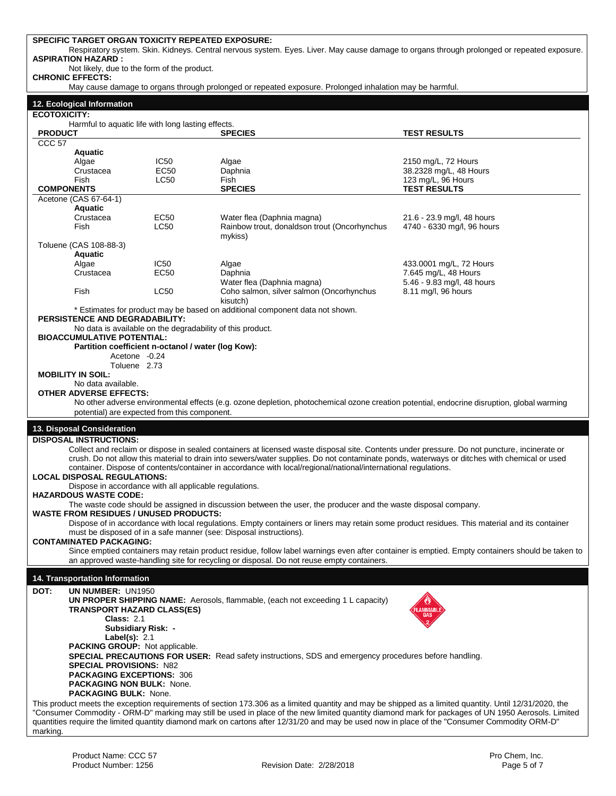## **SPECIFIC TARGET ORGAN TOXICITY REPEATED EXPOSURE:**

Respiratory system. Skin. Kidneys. Central nervous system. Eyes. Liver. May cause damage to organs through prolonged or repeated exposure. **ASPIRATION HAZARD :**

Not likely, due to the form of the product.

**CHRONIC EFFECTS:**

May cause damage to organs through prolonged or repeated exposure. Prolonged inhalation may be harmful.

| 12. Ecological Information |  |
|----------------------------|--|
|----------------------------|--|

| <b>ECOTOXICITY:</b> |  |
|---------------------|--|
|                     |  |
|                     |  |

Harmful to aquatic life with long lasting effects.

| <b>PRODUCT</b>    | Harmful to aquatic life with long lasting effects.         |                  | <b>SPECIES</b>                                                                                                                                         | <b>TEST RESULTS</b>                                                                                                                             |
|-------------------|------------------------------------------------------------|------------------|--------------------------------------------------------------------------------------------------------------------------------------------------------|-------------------------------------------------------------------------------------------------------------------------------------------------|
| CCC <sub>57</sub> |                                                            |                  |                                                                                                                                                        |                                                                                                                                                 |
|                   | Aquatic                                                    |                  |                                                                                                                                                        |                                                                                                                                                 |
|                   | Algae                                                      | IC <sub>50</sub> | Algae                                                                                                                                                  | 2150 mg/L, 72 Hours                                                                                                                             |
|                   | Crustacea                                                  | EC50             | Daphnia                                                                                                                                                | 38.2328 mg/L, 48 Hours                                                                                                                          |
|                   | Fish                                                       | LC50             | Fish                                                                                                                                                   | 123 mg/L, 96 Hours                                                                                                                              |
| <b>COMPONENTS</b> |                                                            |                  | <b>SPECIES</b>                                                                                                                                         | <b>TEST RESULTS</b>                                                                                                                             |
|                   | Acetone (CAS 67-64-1)                                      |                  |                                                                                                                                                        |                                                                                                                                                 |
|                   | Aquatic                                                    |                  |                                                                                                                                                        |                                                                                                                                                 |
|                   | Crustacea                                                  | EC50             | Water flea (Daphnia magna)                                                                                                                             | 21.6 - 23.9 mg/l, 48 hours                                                                                                                      |
|                   | Fish                                                       | <b>LC50</b>      | Rainbow trout, donaldson trout (Oncorhynchus                                                                                                           | 4740 - 6330 mg/l, 96 hours                                                                                                                      |
|                   |                                                            |                  | mykiss)                                                                                                                                                |                                                                                                                                                 |
|                   | Toluene (CAS 108-88-3)                                     |                  |                                                                                                                                                        |                                                                                                                                                 |
|                   | Aquatic                                                    |                  |                                                                                                                                                        |                                                                                                                                                 |
|                   | Algae                                                      | IC50             | Algae                                                                                                                                                  | 433.0001 mg/L, 72 Hours                                                                                                                         |
|                   | Crustacea                                                  | EC50             | Daphnia                                                                                                                                                | 7.645 mg/L, 48 Hours                                                                                                                            |
|                   |                                                            |                  | Water flea (Daphnia magna)                                                                                                                             | 5.46 - 9.83 mg/l, 48 hours                                                                                                                      |
|                   | Fish                                                       | <b>LC50</b>      | Coho salmon, silver salmon (Oncorhynchus                                                                                                               | 8.11 mg/l, 96 hours                                                                                                                             |
|                   |                                                            |                  | kisutch)                                                                                                                                               |                                                                                                                                                 |
|                   |                                                            |                  | * Estimates for product may be based on additional component data not shown.                                                                           |                                                                                                                                                 |
|                   | PERSISTENCE AND DEGRADABILITY:                             |                  |                                                                                                                                                        |                                                                                                                                                 |
|                   | No data is available on the degradability of this product. |                  |                                                                                                                                                        |                                                                                                                                                 |
|                   | <b>BIOACCUMULATIVE POTENTIAL:</b>                          |                  |                                                                                                                                                        |                                                                                                                                                 |
|                   | Partition coefficient n-octanol / water (log Kow):         |                  |                                                                                                                                                        |                                                                                                                                                 |
|                   | Acetone -0.24                                              |                  |                                                                                                                                                        |                                                                                                                                                 |
|                   | Toluene 2.73                                               |                  |                                                                                                                                                        |                                                                                                                                                 |
|                   | <b>MOBILITY IN SOIL:</b>                                   |                  |                                                                                                                                                        |                                                                                                                                                 |
|                   | No data available.                                         |                  |                                                                                                                                                        |                                                                                                                                                 |
|                   | OTHER ADVERSE EFFECTS:                                     |                  |                                                                                                                                                        |                                                                                                                                                 |
|                   |                                                            |                  |                                                                                                                                                        |                                                                                                                                                 |
|                   |                                                            |                  | No other adverse environmental effects (e.g. ozone depletion, photochemical ozone creation potential, endocrine disruption, global warming             |                                                                                                                                                 |
|                   | potential) are expected from this component.               |                  |                                                                                                                                                        |                                                                                                                                                 |
|                   | 13. Disposal Consideration                                 |                  |                                                                                                                                                        |                                                                                                                                                 |
|                   | <b>DISPOSAL INSTRUCTIONS:</b>                              |                  |                                                                                                                                                        |                                                                                                                                                 |
|                   |                                                            |                  |                                                                                                                                                        |                                                                                                                                                 |
|                   |                                                            |                  | Collect and reclaim or dispose in sealed containers at licensed waste disposal site. Contents under pressure. Do not puncture, incinerate or           |                                                                                                                                                 |
|                   |                                                            |                  | crush. Do not allow this material to drain into sewers/water supplies. Do not contaminate ponds, waterways or ditches with chemical or used            |                                                                                                                                                 |
|                   |                                                            |                  | container. Dispose of contents/container in accordance with local/regional/national/international regulations.                                         |                                                                                                                                                 |
|                   | <b>LOCAL DISPOSAL REGULATIONS:</b>                         |                  |                                                                                                                                                        |                                                                                                                                                 |
|                   | Dispose in accordance with all applicable regulations.     |                  |                                                                                                                                                        |                                                                                                                                                 |
|                   | <b>HAZARDOUS WASTE CODE:</b>                               |                  |                                                                                                                                                        |                                                                                                                                                 |
|                   |                                                            |                  | The waste code should be assigned in discussion between the user, the producer and the waste disposal company.                                         |                                                                                                                                                 |
|                   | <b>WASTE FROM RESIDUES / UNUSED PRODUCTS:</b>              |                  |                                                                                                                                                        |                                                                                                                                                 |
|                   |                                                            |                  | Dispose of in accordance with local regulations. Empty containers or liners may retain some product residues. This material and its container          |                                                                                                                                                 |
|                   |                                                            |                  | must be disposed of in a safe manner (see: Disposal instructions).                                                                                     |                                                                                                                                                 |
|                   | <b>CONTAMINATED PACKAGING:</b>                             |                  |                                                                                                                                                        |                                                                                                                                                 |
|                   |                                                            |                  |                                                                                                                                                        | Since emptied containers may retain product residue, follow label warnings even after container is emptied. Empty containers should be taken to |
|                   |                                                            |                  | an approved waste-handling site for recycling or disposal. Do not reuse empty containers.                                                              |                                                                                                                                                 |
|                   |                                                            |                  |                                                                                                                                                        |                                                                                                                                                 |
|                   | <b>14. Transportation Information</b>                      |                  |                                                                                                                                                        |                                                                                                                                                 |
| DOT:              | UN NUMBER: UN1950                                          |                  |                                                                                                                                                        |                                                                                                                                                 |
|                   |                                                            |                  | UN PROPER SHIPPING NAME: Aerosols, flammable, (each not exceeding 1 L capacity)                                                                        |                                                                                                                                                 |
|                   | <b>TRANSPORT HAZARD CLASS(ES)</b>                          |                  |                                                                                                                                                        |                                                                                                                                                 |
|                   | <b>Class: 2.1</b>                                          |                  |                                                                                                                                                        |                                                                                                                                                 |
|                   | <b>Subsidiary Risk: -</b>                                  |                  |                                                                                                                                                        |                                                                                                                                                 |
|                   | Label(s): $2.1$                                            |                  |                                                                                                                                                        |                                                                                                                                                 |
|                   | PACKING GROUP: Not applicable.                             |                  |                                                                                                                                                        |                                                                                                                                                 |
|                   |                                                            |                  | <b>SPECIAL PRECAUTIONS FOR USER:</b> Read safety instructions, SDS and emergency procedures before handling.                                           |                                                                                                                                                 |
|                   | <b>SPECIAL PROVISIONS: N82</b>                             |                  |                                                                                                                                                        |                                                                                                                                                 |
|                   | <b>PACKAGING EXCEPTIONS: 306</b>                           |                  |                                                                                                                                                        |                                                                                                                                                 |
|                   | <b>PACKAGING NON BULK: None.</b>                           |                  |                                                                                                                                                        |                                                                                                                                                 |
|                   | <b>PACKAGING BULK: None.</b>                               |                  |                                                                                                                                                        |                                                                                                                                                 |
|                   |                                                            |                  | This product meets the exception requirements of section 173.306 as a limited quantity and may be shipped as a limited quantity. Until 12/31/2020, the |                                                                                                                                                 |
|                   |                                                            |                  |                                                                                                                                                        |                                                                                                                                                 |
|                   |                                                            |                  |                                                                                                                                                        |                                                                                                                                                 |
|                   |                                                            |                  | "Consumer Commodity - ORM-D" marking may still be used in place of the new limited quantity diamond mark for packages of UN 1950 Aerosols. Limited     |                                                                                                                                                 |
| marking.          |                                                            |                  | quantities require the limited quantity diamond mark on cartons after 12/31/20 and may be used now in place of the "Consumer Commodity ORM-D"          |                                                                                                                                                 |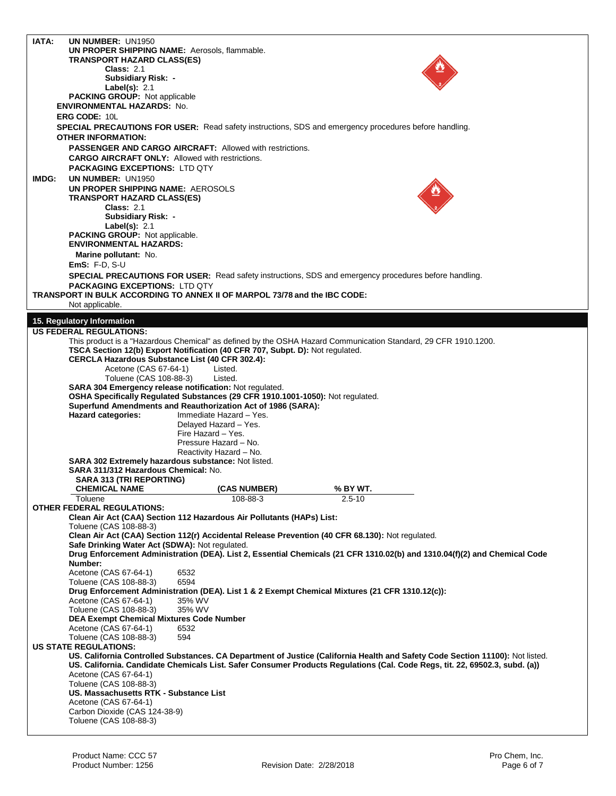| IATA: | UN NUMBER: UN1950                                                                                                                    |                          |                        |  |
|-------|--------------------------------------------------------------------------------------------------------------------------------------|--------------------------|------------------------|--|
|       | UN PROPER SHIPPING NAME: Aerosols, flammable.                                                                                        |                          |                        |  |
|       | <b>TRANSPORT HAZARD CLASS(ES)</b>                                                                                                    |                          |                        |  |
|       | <b>Class: 2.1</b>                                                                                                                    |                          |                        |  |
|       | Subsidiary Risk: -<br>Label(s): $2.1$                                                                                                |                          |                        |  |
|       | <b>PACKING GROUP: Not applicable</b>                                                                                                 |                          |                        |  |
|       | <b>ENVIRONMENTAL HAZARDS: No.</b>                                                                                                    |                          |                        |  |
|       | ERG CODE: 10L                                                                                                                        |                          |                        |  |
|       | <b>SPECIAL PRECAUTIONS FOR USER:</b> Read safety instructions, SDS and emergency procedures before handling.                         |                          |                        |  |
|       | <b>OTHER INFORMATION:</b>                                                                                                            |                          |                        |  |
|       | PASSENGER AND CARGO AIRCRAFT: Allowed with restrictions.                                                                             |                          |                        |  |
|       | <b>CARGO AIRCRAFT ONLY:</b> Allowed with restrictions.                                                                               |                          |                        |  |
|       | <b>PACKAGING EXCEPTIONS: LTD QTY</b>                                                                                                 |                          |                        |  |
| IMDG: | UN NUMBER: UN1950                                                                                                                    |                          |                        |  |
|       | UN PROPER SHIPPING NAME: AEROSOLS                                                                                                    |                          |                        |  |
|       | TRANSPORT HAZARD CLASS(ES)                                                                                                           |                          |                        |  |
|       | <b>Class: 2.1</b>                                                                                                                    |                          |                        |  |
|       | Subsidiary Risk: -                                                                                                                   |                          |                        |  |
|       | Label(s): $2.1$<br>PACKING GROUP: Not applicable.                                                                                    |                          |                        |  |
|       | <b>ENVIRONMENTAL HAZARDS:</b>                                                                                                        |                          |                        |  |
|       | Marine pollutant: No.                                                                                                                |                          |                        |  |
|       | $EmS: F.D, S-U$                                                                                                                      |                          |                        |  |
|       | SPECIAL PRECAUTIONS FOR USER: Read safety instructions, SDS and emergency procedures before handling.                                |                          |                        |  |
|       | <b>PACKAGING EXCEPTIONS: LTD QTY</b>                                                                                                 |                          |                        |  |
|       | TRANSPORT IN BULK ACCORDING TO ANNEX II OF MARPOL 73/78 and the IBC CODE:                                                            |                          |                        |  |
|       | Not applicable.                                                                                                                      |                          |                        |  |
|       |                                                                                                                                      |                          |                        |  |
|       | 15. Regulatory Information<br><b>US FEDERAL REGULATIONS:</b>                                                                         |                          |                        |  |
|       | This product is a "Hazardous Chemical" as defined by the OSHA Hazard Communication Standard, 29 CFR 1910.1200.                       |                          |                        |  |
|       | TSCA Section 12(b) Export Notification (40 CFR 707, Subpt. D): Not regulated.                                                        |                          |                        |  |
|       | CERCLA Hazardous Substance List (40 CFR 302.4):                                                                                      |                          |                        |  |
|       | Acetone (CAS 67-64-1)                                                                                                                | Listed.                  |                        |  |
|       | Toluene (CAS 108-88-3)                                                                                                               | Listed.                  |                        |  |
|       | SARA 304 Emergency release notification: Not regulated.                                                                              |                          |                        |  |
|       | OSHA Specifically Regulated Substances (29 CFR 1910.1001-1050): Not regulated.                                                       |                          |                        |  |
|       | Superfund Amendments and Reauthorization Act of 1986 (SARA):<br><b>Hazard categories:</b>                                            | Immediate Hazard - Yes.  |                        |  |
|       |                                                                                                                                      | Delayed Hazard - Yes.    |                        |  |
|       |                                                                                                                                      | Fire Hazard - Yes.       |                        |  |
|       |                                                                                                                                      | Pressure Hazard - No.    |                        |  |
|       |                                                                                                                                      | Reactivity Hazard - No.  |                        |  |
|       | SARA 302 Extremely hazardous substance: Not listed.                                                                                  |                          |                        |  |
|       | SARA 311/312 Hazardous Chemical: No.                                                                                                 |                          |                        |  |
|       | <b>SARA 313 (TRI REPORTING)</b>                                                                                                      |                          |                        |  |
|       | <b>CHEMICAL NAME</b><br>Toluene                                                                                                      | (CAS NUMBER)<br>108-88-3 | % BY WT.<br>$2.5 - 10$ |  |
|       | <b>OTHER FEDERAL REGULATIONS:</b>                                                                                                    |                          |                        |  |
|       | Clean Air Act (CAA) Section 112 Hazardous Air Pollutants (HAPs) List:                                                                |                          |                        |  |
|       | Toluene (CAS 108-88-3)                                                                                                               |                          |                        |  |
|       | Clean Air Act (CAA) Section 112(r) Accidental Release Prevention (40 CFR 68.130): Not regulated.                                     |                          |                        |  |
|       | Safe Drinking Water Act (SDWA): Not regulated.                                                                                       |                          |                        |  |
|       | Drug Enforcement Administration (DEA). List 2, Essential Chemicals (21 CFR 1310.02(b) and 1310.04(f)(2) and Chemical Code<br>Number: |                          |                        |  |
|       | Acetone (CAS 67-64-1)<br>6532                                                                                                        |                          |                        |  |
|       | 6594<br>Toluene (CAS 108-88-3)                                                                                                       |                          |                        |  |
|       | Drug Enforcement Administration (DEA). List 1 & 2 Exempt Chemical Mixtures (21 CFR 1310.12(c)):                                      |                          |                        |  |
|       | 35% WV<br>Acetone (CAS 67-64-1)                                                                                                      |                          |                        |  |
|       | Toluene (CAS 108-88-3)<br>35% WV                                                                                                     |                          |                        |  |
|       | <b>DEA Exempt Chemical Mixtures Code Number</b>                                                                                      |                          |                        |  |
|       | Acetone (CAS 67-64-1)<br>6532                                                                                                        |                          |                        |  |
|       | Toluene (CAS 108-88-3)<br>594<br><b>US STATE REGULATIONS:</b>                                                                        |                          |                        |  |
|       | US. California Controlled Substances. CA Department of Justice (California Health and Safety Code Section 11100): Not listed.        |                          |                        |  |
|       | US. California. Candidate Chemicals List. Safer Consumer Products Regulations (Cal. Code Regs, tit. 22, 69502.3, subd. (a))          |                          |                        |  |
|       | Acetone (CAS 67-64-1)                                                                                                                |                          |                        |  |
|       | Toluene (CAS 108-88-3)                                                                                                               |                          |                        |  |
|       | US. Massachusetts RTK - Substance List                                                                                               |                          |                        |  |
|       | Acetone (CAS 67-64-1)                                                                                                                |                          |                        |  |
|       | Carbon Dioxide (CAS 124-38-9)<br>Toluene (CAS 108-88-3)                                                                              |                          |                        |  |
|       |                                                                                                                                      |                          |                        |  |
|       |                                                                                                                                      |                          |                        |  |